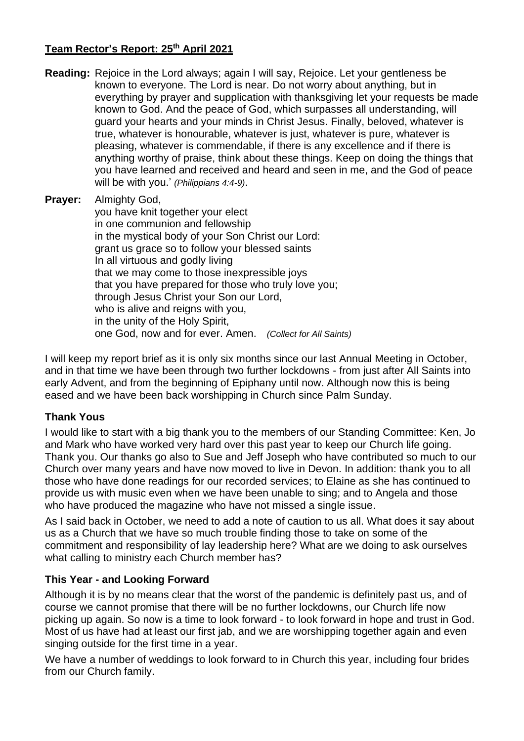## **Team Rector's Report: 25 th April 2021**

- **Reading:** Rejoice in the Lord always; again I will say, Rejoice. Let your gentleness be known to everyone. The Lord is near. Do not worry about anything, but in everything by prayer and supplication with thanksgiving let your requests be made known to God. And the peace of God, which surpasses all understanding, will guard your hearts and your minds in Christ Jesus. Finally, beloved, whatever is true, whatever is honourable, whatever is just, whatever is pure, whatever is pleasing, whatever is commendable, if there is any excellence and if there is anything worthy of praise, think about these things. Keep on doing the things that you have learned and received and heard and seen in me, and the God of peace will be with you.' *(Philippians 4:4-9)*.
- **Prayer:** Almighty God,

you have knit together your elect in one communion and fellowship in the mystical body of your Son Christ our Lord: grant us grace so to follow your blessed saints In all virtuous and godly living that we may come to those inexpressible joys that you have prepared for those who truly love you; through Jesus Christ your Son our Lord, who is alive and reigns with you, in the unity of the Holy Spirit, one God, now and for ever. Amen. *(Collect for All Saints)*

I will keep my report brief as it is only six months since our last Annual Meeting in October, and in that time we have been through two further lockdowns - from just after All Saints into early Advent, and from the beginning of Epiphany until now. Although now this is being eased and we have been back worshipping in Church since Palm Sunday.

## **Thank Yous**

I would like to start with a big thank you to the members of our Standing Committee: Ken, Jo and Mark who have worked very hard over this past year to keep our Church life going. Thank you. Our thanks go also to Sue and Jeff Joseph who have contributed so much to our Church over many years and have now moved to live in Devon. In addition: thank you to all those who have done readings for our recorded services; to Elaine as she has continued to provide us with music even when we have been unable to sing; and to Angela and those who have produced the magazine who have not missed a single issue.

As I said back in October, we need to add a note of caution to us all. What does it say about us as a Church that we have so much trouble finding those to take on some of the commitment and responsibility of lay leadership here? What are we doing to ask ourselves what calling to ministry each Church member has?

## **This Year - and Looking Forward**

Although it is by no means clear that the worst of the pandemic is definitely past us, and of course we cannot promise that there will be no further lockdowns, our Church life now picking up again. So now is a time to look forward - to look forward in hope and trust in God. Most of us have had at least our first jab, and we are worshipping together again and even singing outside for the first time in a year.

We have a number of weddings to look forward to in Church this year, including four brides from our Church family.